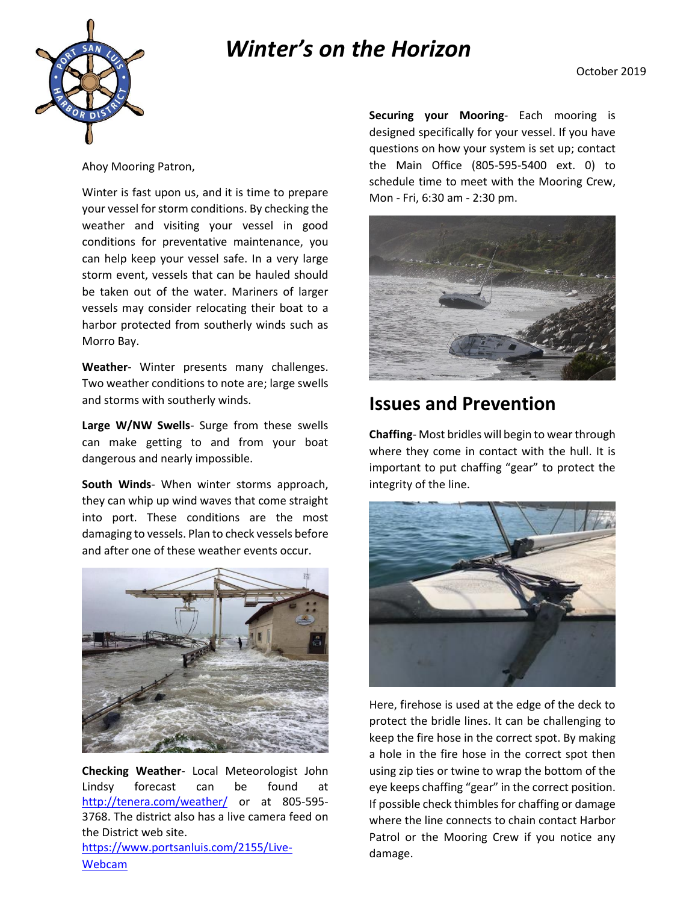## *Winter's on the Horizon*





Ahoy Mooring Patron,

Winter is fast upon us, and it is time to prepare your vessel for storm conditions. By checking the weather and visiting your vessel in good conditions for preventative maintenance, you can help keep your vessel safe. In a very large storm event, vessels that can be hauled should be taken out of the water. Mariners of larger vessels may consider relocating their boat to a harbor protected from southerly winds such as Morro Bay.

**Weather**- Winter presents many challenges. Two weather conditions to note are; large swells and storms with southerly winds.

**Large W/NW Swells**- Surge from these swells can make getting to and from your boat dangerous and nearly impossible.

**South Winds**- When winter storms approach, they can whip up wind waves that come straight into port. These conditions are the most damaging to vessels. Plan to check vessels before and after one of these weather events occur.



**Checking Weather**- Local Meteorologist John Lindsy forecast can be found at <http://tenera.com/weather/> or at 805-595- 3768. The district also has a live camera feed on the District web site. [https://www.portsanluis.com/2155/Live-](https://www.portsanluis.com/2155/Live-Webcam) **Securing your Mooring**- Each mooring is designed specifically for your vessel. If you have questions on how your system is set up; contact the Main Office (805-595-5400 ext. 0) to schedule time to meet with the Mooring Crew, Mon - Fri, 6:30 am - 2:30 pm.



## **Issues and Prevention**

**Chaffing**- Most bridles will begin to wear through where they come in contact with the hull. It is important to put chaffing "gear" to protect the integrity of the line.



Here, firehose is used at the edge of the deck to protect the bridle lines. It can be challenging to keep the fire hose in the correct spot. By making a hole in the fire hose in the correct spot then using zip ties or twine to wrap the bottom of the eye keeps chaffing "gear" in the correct position. If possible check thimbles for chaffing or damage where the line connects to chain contact Harbor Patrol or the Mooring Crew if you notice any damage.

[Webcam](https://www.portsanluis.com/2155/Live-Webcam)